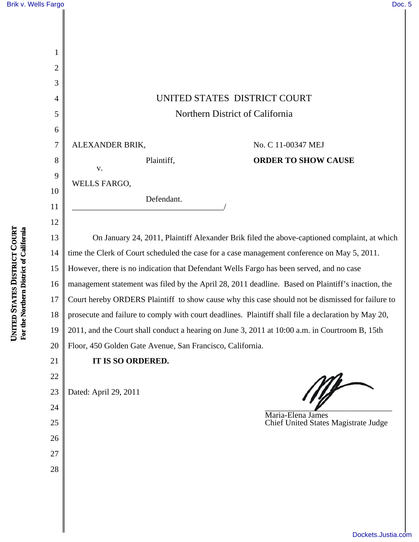|                                                              | Brik v. Wells Fargo | Doc. 5                                                                                              |
|--------------------------------------------------------------|---------------------|-----------------------------------------------------------------------------------------------------|
|                                                              |                     |                                                                                                     |
|                                                              |                     |                                                                                                     |
|                                                              | 1                   |                                                                                                     |
|                                                              | $\overline{2}$      |                                                                                                     |
|                                                              | 3                   |                                                                                                     |
|                                                              | 4                   | UNITED STATES DISTRICT COURT                                                                        |
|                                                              | 5                   | Northern District of California                                                                     |
|                                                              | 6                   |                                                                                                     |
|                                                              | 7                   | ALEXANDER BRIK,<br>No. C 11-00347 MEJ                                                               |
|                                                              | 8                   | Plaintiff,<br><b>ORDER TO SHOW CAUSE</b>                                                            |
|                                                              | 9                   | ${\bf V}$ .                                                                                         |
|                                                              | 10                  | WELLS FARGO,                                                                                        |
|                                                              | 11                  | Defendant.                                                                                          |
|                                                              | 12                  |                                                                                                     |
|                                                              | 13                  | On January 24, 2011, Plaintiff Alexander Brik filed the above-captioned complaint, at which         |
|                                                              | 14                  | time the Clerk of Court scheduled the case for a case management conference on May 5, 2011.         |
| UNITED STATES DISTRICT COURT<br>thern District of California | 15                  | However, there is no indication that Defendant Wells Fargo has been served, and no case             |
|                                                              | 16                  | management statement was filed by the April 28, 2011 deadline. Based on Plaintiff's inaction, the   |
|                                                              | 17                  | Court hereby ORDERS Plaintiff to show cause why this case should not be dismissed for failure to    |
|                                                              | 18                  | prosecute and failure to comply with court deadlines. Plaintiff shall file a declaration by May 20, |
| For the Nor                                                  | 19                  | 2011, and the Court shall conduct a hearing on June 3, 2011 at 10:00 a.m. in Courtroom B, 15th      |
|                                                              | 20                  | Floor, 450 Golden Gate Avenue, San Francisco, California.                                           |
|                                                              | 21                  | IT IS SO ORDERED.                                                                                   |
|                                                              | 22                  |                                                                                                     |
|                                                              | 23                  | Dated: April 29, 2011                                                                               |
|                                                              | 24                  | Maria-Elena James                                                                                   |
|                                                              | 25                  | Chief United States Magistrate Judge                                                                |
|                                                              | 26                  |                                                                                                     |
|                                                              | 27                  |                                                                                                     |
|                                                              | 28                  |                                                                                                     |
|                                                              |                     |                                                                                                     |
|                                                              |                     |                                                                                                     |

┃

[Dockets.Justia.com](http://dockets.justia.com/)